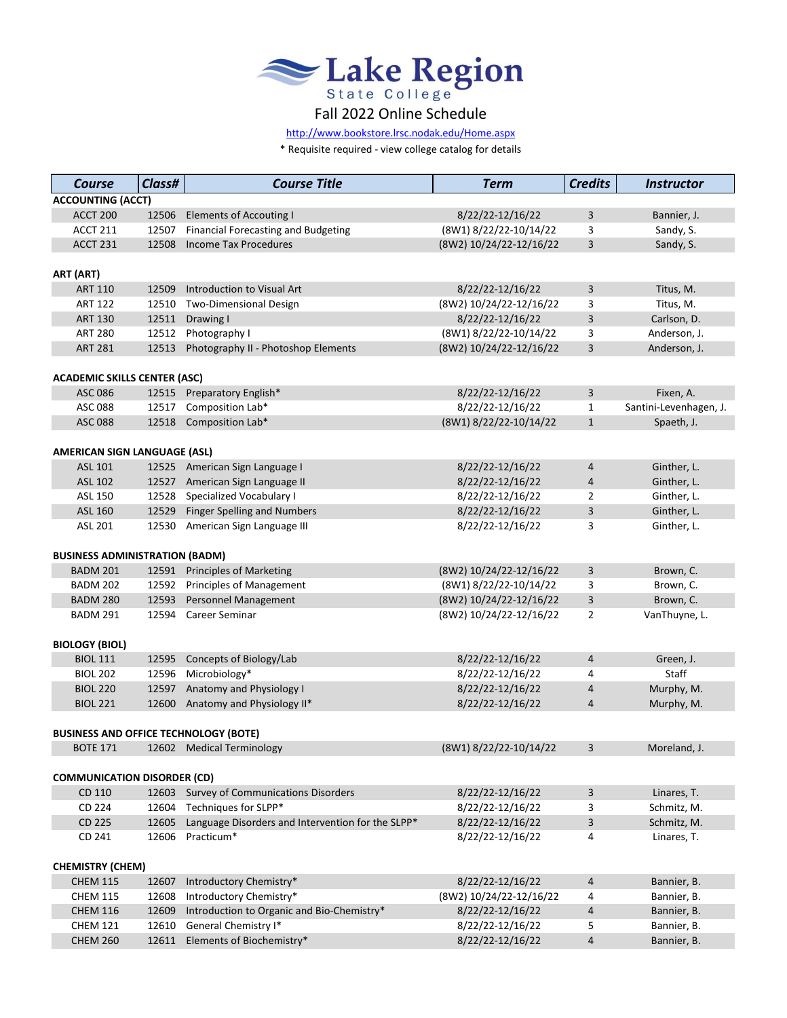

[http://www.bookstore.lrsc.noda](http://www.bookstore.lrsc.nodak.edu/Home.aspx)k.edu/Home.aspx

\* Requisite required - view college catalog for details

| <b>Course</b>                                | Class# | <b>Course Title</b>                               | <b>Term</b>             | <b>Credits</b> | <b>Instructor</b>      |  |  |  |
|----------------------------------------------|--------|---------------------------------------------------|-------------------------|----------------|------------------------|--|--|--|
| <b>ACCOUNTING (ACCT)</b>                     |        |                                                   |                         |                |                        |  |  |  |
| <b>ACCT 200</b>                              | 12506  | <b>Elements of Accouting I</b>                    | 8/22/22-12/16/22        | 3              | Bannier, J.            |  |  |  |
| <b>ACCT 211</b>                              | 12507  | <b>Financial Forecasting and Budgeting</b>        | (8W1) 8/22/22-10/14/22  | 3              | Sandy, S.              |  |  |  |
| <b>ACCT 231</b>                              | 12508  | <b>Income Tax Procedures</b>                      | (8W2) 10/24/22-12/16/22 | 3              | Sandy, S.              |  |  |  |
|                                              |        |                                                   |                         |                |                        |  |  |  |
| ART (ART)                                    |        |                                                   |                         |                |                        |  |  |  |
| <b>ART 110</b>                               | 12509  | Introduction to Visual Art                        | 8/22/22-12/16/22        | 3              | Titus, M.              |  |  |  |
| <b>ART 122</b>                               | 12510  | <b>Two-Dimensional Design</b>                     | (8W2) 10/24/22-12/16/22 | 3              | Titus, M.              |  |  |  |
| <b>ART 130</b>                               | 12511  | Drawing I                                         | 8/22/22-12/16/22        | 3              | Carlson, D.            |  |  |  |
| <b>ART 280</b>                               | 12512  | Photography I                                     | (8W1) 8/22/22-10/14/22  | 3              | Anderson, J.           |  |  |  |
| <b>ART 281</b>                               | 12513  | Photography II - Photoshop Elements               | (8W2) 10/24/22-12/16/22 | 3              | Anderson, J.           |  |  |  |
| <b>ACADEMIC SKILLS CENTER (ASC)</b>          |        |                                                   |                         |                |                        |  |  |  |
| ASC 086                                      | 12515  | Preparatory English*                              | 8/22/22-12/16/22        | 3              | Fixen, A.              |  |  |  |
| <b>ASC 088</b>                               | 12517  | Composition Lab*                                  | 8/22/22-12/16/22        | $\mathbf{1}$   | Santini-Levenhagen, J. |  |  |  |
| <b>ASC 088</b>                               | 12518  | Composition Lab*                                  | (8W1) 8/22/22-10/14/22  | $\mathbf{1}$   | Spaeth, J.             |  |  |  |
|                                              |        |                                                   |                         |                |                        |  |  |  |
| <b>AMERICAN SIGN LANGUAGE (ASL)</b>          |        |                                                   |                         |                |                        |  |  |  |
| ASL 101                                      | 12525  | American Sign Language I                          | 8/22/22-12/16/22        | 4              | Ginther, L.            |  |  |  |
| ASL 102                                      | 12527  | American Sign Language II                         | 8/22/22-12/16/22        | 4              | Ginther, L.            |  |  |  |
| ASL 150                                      | 12528  | Specialized Vocabulary I                          | 8/22/22-12/16/22        | $\overline{2}$ | Ginther, L.            |  |  |  |
| ASL 160                                      | 12529  | <b>Finger Spelling and Numbers</b>                | 8/22/22-12/16/22        | 3              | Ginther, L.            |  |  |  |
| ASL 201                                      | 12530  | American Sign Language III                        | 8/22/22-12/16/22        | 3              | Ginther, L.            |  |  |  |
| <b>BUSINESS ADMINISTRATION (BADM)</b>        |        |                                                   |                         |                |                        |  |  |  |
| <b>BADM 201</b>                              | 12591  | <b>Principles of Marketing</b>                    | (8W2) 10/24/22-12/16/22 | 3              | Brown, C.              |  |  |  |
| <b>BADM 202</b>                              | 12592  | Principles of Management                          | (8W1) 8/22/22-10/14/22  | 3              | Brown, C.              |  |  |  |
| <b>BADM 280</b>                              | 12593  | <b>Personnel Management</b>                       | (8W2) 10/24/22-12/16/22 | 3              | Brown, C.              |  |  |  |
| <b>BADM 291</b>                              | 12594  | Career Seminar                                    | (8W2) 10/24/22-12/16/22 | $\overline{2}$ | VanThuyne, L.          |  |  |  |
|                                              |        |                                                   |                         |                |                        |  |  |  |
| <b>BIOLOGY (BIOL)</b>                        |        |                                                   |                         |                |                        |  |  |  |
| <b>BIOL 111</b>                              | 12595  | Concepts of Biology/Lab                           | 8/22/22-12/16/22        | 4              | Green, J.              |  |  |  |
| <b>BIOL 202</b>                              | 12596  | Microbiology*                                     | 8/22/22-12/16/22        | 4              | Staff                  |  |  |  |
| <b>BIOL 220</b>                              | 12597  | Anatomy and Physiology I                          | 8/22/22-12/16/22        | 4              | Murphy, M.             |  |  |  |
| <b>BIOL 221</b>                              | 12600  | Anatomy and Physiology II*                        | 8/22/22-12/16/22        | 4              | Murphy, M.             |  |  |  |
|                                              |        |                                                   |                         |                |                        |  |  |  |
| <b>BUSINESS AND OFFICE TECHNOLOGY (BOTE)</b> |        |                                                   |                         |                |                        |  |  |  |
| <b>BOTE 171</b>                              |        | 12602 Medical Terminology                         | (8W1) 8/22/22-10/14/22  | 3              | Moreland, J.           |  |  |  |
| <b>COMMUNICATION DISORDER (CD)</b>           |        |                                                   |                         |                |                        |  |  |  |
| CD 110                                       | 12603  | <b>Survey of Communications Disorders</b>         | 8/22/22-12/16/22        | 3              | Linares, T.            |  |  |  |
| CD 224                                       | 12604  | Techniques for SLPP*                              | 8/22/22-12/16/22        | 3              | Schmitz, M.            |  |  |  |
| CD 225                                       | 12605  | Language Disorders and Intervention for the SLPP* | 8/22/22-12/16/22        | 3              | Schmitz, M.            |  |  |  |
| CD 241                                       | 12606  | Practicum*                                        | 8/22/22-12/16/22        | 4              | Linares, T.            |  |  |  |
|                                              |        |                                                   |                         |                |                        |  |  |  |
| <b>CHEMISTRY (CHEM)</b>                      |        |                                                   |                         |                |                        |  |  |  |
| <b>CHEM 115</b>                              | 12607  | Introductory Chemistry*                           | 8/22/22-12/16/22        | 4              | Bannier, B.            |  |  |  |
| <b>CHEM 115</b>                              | 12608  | Introductory Chemistry*                           | (8W2) 10/24/22-12/16/22 | 4              | Bannier, B.            |  |  |  |
| <b>CHEM 116</b>                              | 12609  | Introduction to Organic and Bio-Chemistry*        | 8/22/22-12/16/22        | 4              | Bannier, B.            |  |  |  |
| <b>CHEM 121</b>                              | 12610  | General Chemistry I*                              | 8/22/22-12/16/22        | 5              | Bannier, B.            |  |  |  |
| <b>CHEM 260</b>                              | 12611  | Elements of Biochemistry*                         | 8/22/22-12/16/22        | 4              | Bannier, B.            |  |  |  |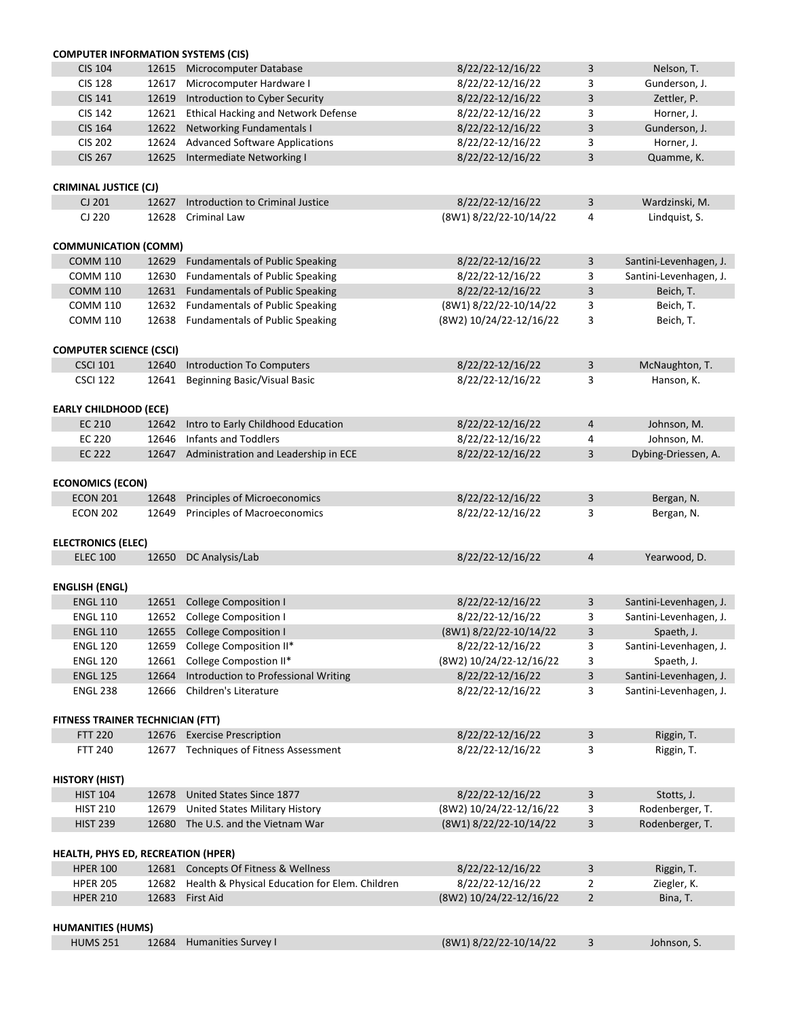| <b>COMPUTER INFORMATION SYSTEMS (CIS)</b> |       |                                                |                         |                |                        |
|-------------------------------------------|-------|------------------------------------------------|-------------------------|----------------|------------------------|
| <b>CIS 104</b>                            | 12615 | Microcomputer Database                         | 8/22/22-12/16/22        | 3              | Nelson, T.             |
| <b>CIS 128</b>                            | 12617 | Microcomputer Hardware I                       | 8/22/22-12/16/22        | 3              | Gunderson, J.          |
| <b>CIS 141</b>                            | 12619 | Introduction to Cyber Security                 | 8/22/22-12/16/22        | 3              | Zettler, P.            |
| <b>CIS 142</b>                            | 12621 | <b>Ethical Hacking and Network Defense</b>     | 8/22/22-12/16/22        | 3              | Horner, J.             |
| <b>CIS 164</b>                            | 12622 | <b>Networking Fundamentals I</b>               | 8/22/22-12/16/22        | 3              | Gunderson, J.          |
| <b>CIS 202</b>                            | 12624 | <b>Advanced Software Applications</b>          | 8/22/22-12/16/22        | 3              | Horner, J.             |
| <b>CIS 267</b>                            | 12625 | Intermediate Networking I                      | 8/22/22-12/16/22        | 3              | Quamme, K.             |
| <b>CRIMINAL JUSTICE (CJ)</b>              |       |                                                |                         |                |                        |
| CJ 201                                    | 12627 | Introduction to Criminal Justice               | 8/22/22-12/16/22        | $\overline{3}$ | Wardzinski, M.         |
| CJ 220                                    | 12628 | <b>Criminal Law</b>                            | (8W1) 8/22/22-10/14/22  | 4              | Lindquist, S.          |
|                                           |       |                                                |                         |                |                        |
| <b>COMMUNICATION (COMM)</b>               |       |                                                |                         |                |                        |
| <b>COMM 110</b>                           | 12629 | <b>Fundamentals of Public Speaking</b>         | 8/22/22-12/16/22        | 3              | Santini-Levenhagen, J. |
| <b>COMM 110</b>                           | 12630 | <b>Fundamentals of Public Speaking</b>         | 8/22/22-12/16/22        | 3              | Santini-Levenhagen, J. |
| <b>COMM 110</b>                           | 12631 | <b>Fundamentals of Public Speaking</b>         | 8/22/22-12/16/22        | 3              | Beich, T.              |
| <b>COMM 110</b>                           | 12632 | <b>Fundamentals of Public Speaking</b>         | (8W1) 8/22/22-10/14/22  | 3              | Beich, T.              |
| <b>COMM 110</b>                           | 12638 | <b>Fundamentals of Public Speaking</b>         | (8W2) 10/24/22-12/16/22 | 3              | Beich, T.              |
| <b>COMPUTER SCIENCE (CSCI)</b>            |       |                                                |                         |                |                        |
| <b>CSCI 101</b>                           | 12640 | <b>Introduction To Computers</b>               | 8/22/22-12/16/22        | 3              | McNaughton, T.         |
| <b>CSCI 122</b>                           | 12641 | <b>Beginning Basic/Visual Basic</b>            | 8/22/22-12/16/22        | 3              | Hanson, K.             |
|                                           |       |                                                |                         |                |                        |
| <b>EARLY CHILDHOOD (ECE)</b><br>EC 210    | 12642 | Intro to Early Childhood Education             | 8/22/22-12/16/22        | $\overline{4}$ | Johnson, M.            |
|                                           | 12646 | <b>Infants and Toddlers</b>                    | 8/22/22-12/16/22        |                |                        |
| <b>EC 220</b>                             |       |                                                |                         | 4              | Johnson, M.            |
| <b>EC 222</b>                             | 12647 | Administration and Leadership in ECE           | 8/22/22-12/16/22        | 3              | Dybing-Driessen, A.    |
| <b>ECONOMICS (ECON)</b>                   |       |                                                |                         |                |                        |
| <b>ECON 201</b>                           | 12648 | Principles of Microeconomics                   | 8/22/22-12/16/22        | 3              | Bergan, N.             |
| <b>ECON 202</b>                           |       | 12649 Principles of Macroeconomics             | 8/22/22-12/16/22        | 3              | Bergan, N.             |
| <b>ELECTRONICS (ELEC)</b>                 |       |                                                |                         |                |                        |
| <b>ELEC 100</b>                           | 12650 | DC Analysis/Lab                                | 8/22/22-12/16/22        | $\overline{4}$ | Yearwood, D.           |
| <b>ENGLISH (ENGL)</b>                     |       |                                                |                         |                |                        |
| <b>ENGL 110</b>                           | 12651 | <b>College Composition I</b>                   | 8/22/22-12/16/22        | 3              | Santini-Levenhagen, J. |
| <b>ENGL 110</b>                           | 12652 | <b>College Composition I</b>                   | 8/22/22-12/16/22        | 3              | Santini-Levenhagen, J. |
| <b>ENGL 110</b>                           | 12655 | <b>College Composition I</b>                   | (8W1) 8/22/22-10/14/22  | $\mathbf{3}$   | Spaeth, J.             |
| <b>ENGL 120</b>                           | 12659 | College Composition II*                        | 8/22/22-12/16/22        | 3              | Santini-Levenhagen, J. |
| <b>ENGL 120</b>                           | 12661 | College Compostion II*                         | (8W2) 10/24/22-12/16/22 | 3              | Spaeth, J.             |
| <b>ENGL 125</b>                           | 12664 | <b>Introduction to Professional Writing</b>    | 8/22/22-12/16/22        | $\overline{3}$ | Santini-Levenhagen, J. |
| <b>ENGL 238</b>                           | 12666 | Children's Literature                          | 8/22/22-12/16/22        | 3              | Santini-Levenhagen, J. |
|                                           |       |                                                |                         |                |                        |
| <b>FITNESS TRAINER TECHNICIAN (FTT)</b>   |       |                                                |                         |                |                        |
| <b>FTT 220</b>                            | 12676 | <b>Exercise Prescription</b>                   | 8/22/22-12/16/22        | 3              | Riggin, T.             |
| <b>FTT 240</b>                            | 12677 | Techniques of Fitness Assessment               | 8/22/22-12/16/22        | 3              | Riggin, T.             |
| <b>HISTORY (HIST)</b>                     |       |                                                |                         |                |                        |
| <b>HIST 104</b>                           | 12678 | United States Since 1877                       | 8/22/22-12/16/22        | 3              | Stotts, J.             |
| <b>HIST 210</b>                           | 12679 | <b>United States Military History</b>          | (8W2) 10/24/22-12/16/22 | 3              | Rodenberger, T.        |
| <b>HIST 239</b>                           | 12680 | The U.S. and the Vietnam War                   | (8W1) 8/22/22-10/14/22  | 3              | Rodenberger, T.        |
|                                           |       |                                                |                         |                |                        |
| <b>HEALTH, PHYS ED, RECREATION (HPER)</b> |       |                                                |                         |                |                        |
| <b>HPER 100</b>                           |       | 12681 Concepts Of Fitness & Wellness           | 8/22/22-12/16/22        | 3              | Riggin, T.             |
| <b>HPER 205</b>                           | 12682 | Health & Physical Education for Elem. Children | 8/22/22-12/16/22        | $\overline{2}$ | Ziegler, K.            |
| <b>HPER 210</b>                           | 12683 | <b>First Aid</b>                               | (8W2) 10/24/22-12/16/22 | $2^{\circ}$    | Bina, T.               |
| <b>HUMANITIES (HUMS)</b>                  |       |                                                |                         |                |                        |
| <b>HUMS 251</b>                           | 12684 | <b>Humanities Survey I</b>                     | (8W1) 8/22/22-10/14/22  | 3              | Johnson, S.            |
|                                           |       |                                                |                         |                |                        |